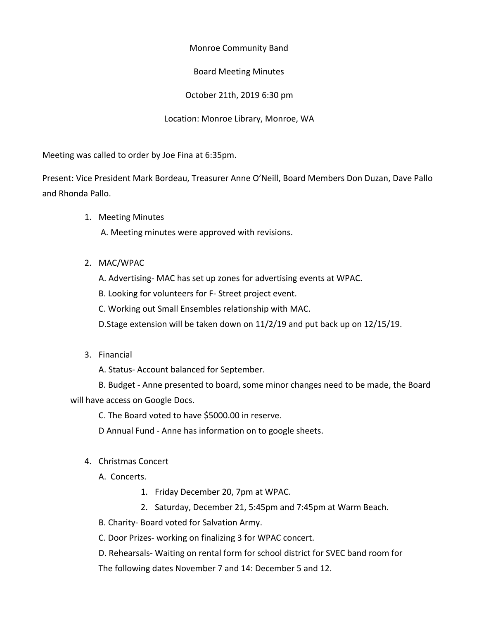Monroe Community Band

Board Meeting Minutes

October 21th, 2019 6:30 pm

Location: Monroe Library, Monroe, WA

Meeting was called to order by Joe Fina at 6:35pm.

Present: Vice President Mark Bordeau, Treasurer Anne O'Neill, Board Members Don Duzan, Dave Pallo and Rhonda Pallo.

1. Meeting Minutes

A. Meeting minutes were approved with revisions.

2. MAC/WPAC

A. Advertising- MAC has set up zones for advertising events at WPAC.

B. Looking for volunteers for F- Street project event.

C. Working out Small Ensembles relationship with MAC.

D.Stage extension will be taken down on 11/2/19 and put back up on 12/15/19.

3. Financial

A. Status- Account balanced for September.

B. Budget - Anne presented to board, some minor changes need to be made, the Board will have access on Google Docs.

C. The Board voted to have \$5000.00 in reserve.

D Annual Fund - Anne has information on to google sheets.

4. Christmas Concert

A. Concerts.

- 1. Friday December 20, 7pm at WPAC.
- 2. Saturday, December 21, 5:45pm and 7:45pm at Warm Beach.

B. Charity- Board voted for Salvation Army.

C. Door Prizes- working on finalizing 3 for WPAC concert.

D. Rehearsals- Waiting on rental form for school district for SVEC band room for The following dates November 7 and 14: December 5 and 12.